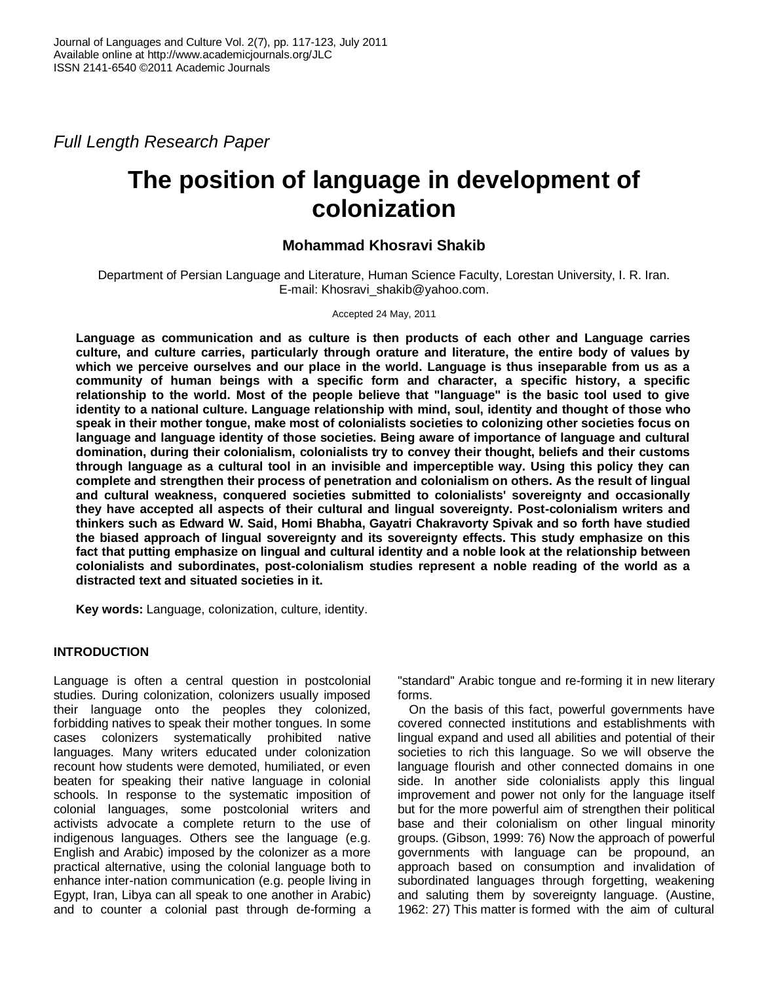*Full Length Research Paper*

# **The position of language in development of colonization**

## **Mohammad Khosravi Shakib**

Department of Persian Language and Literature, Human Science Faculty, Lorestan University, I. R. Iran. E-mail: Khosravi\_shakib@yahoo.com.

Accepted 24 May, 2011

**Language as communication and as culture is then products of each other and Language carries culture, and culture carries, particularly through orature and literature, the entire body of values by which we perceive ourselves and our place in the world. Language is thus inseparable from us as a community of human beings with a specific form and character, a specific history, a specific relationship to the world. Most of the people believe that "language" is the basic tool used to give identity to a national culture. Language relationship with mind, soul, identity and thought of those who speak in their mother tongue, make most of colonialists societies to colonizing other societies focus on language and language identity of those societies. Being aware of importance of language and cultural domination, during their colonialism, colonialists try to convey their thought, beliefs and their customs through language as a cultural tool in an invisible and imperceptible way. Using this policy they can complete and strengthen their process of penetration and colonialism on others. As the result of lingual and cultural weakness, conquered societies submitted to colonialists' sovereignty and occasionally they have accepted all aspects of their cultural and lingual sovereignty. Post-colonialism writers and thinkers such as Edward W. Said, Homi Bhabha, Gayatri Chakravorty Spivak and so forth have studied the biased approach of lingual sovereignty and its sovereignty effects. This study emphasize on this fact that putting emphasize on lingual and cultural identity and a noble look at the relationship between colonialists and subordinates, post-colonialism studies represent a noble reading of the world as a distracted text and situated societies in it.**

**Key words:** Language, colonization, culture, identity.

## **INTRODUCTION**

Language is often a central question in postcolonial studies. During colonization, colonizers usually imposed their language onto the peoples they colonized, forbidding natives to speak their mother tongues. In some cases colonizers systematically prohibited native languages. Many writers educated under colonization recount how students were demoted, humiliated, or even beaten for speaking their native language in colonial schools. In response to the systematic imposition of colonial languages, some postcolonial writers and activists advocate a complete return to the use of indigenous languages. Others see the language (e.g. English and Arabic) imposed by the colonizer as a more practical alternative, using the colonial language both to enhance inter-nation communication (e.g. people living in Egypt, Iran, Libya can all speak to one another in Arabic) and to counter a colonial past through de-forming a

"standard" Arabic tongue and re-forming it in new literary forms.

On the basis of this fact, powerful governments have covered connected institutions and establishments with lingual expand and used all abilities and potential of their societies to rich this language. So we will observe the language flourish and other connected domains in one side. In another side colonialists apply this lingual improvement and power not only for the language itself but for the more powerful aim of strengthen their political base and their colonialism on other lingual minority groups. (Gibson, 1999: 76) Now the approach of powerful governments with language can be propound, an approach based on consumption and invalidation of subordinated languages through forgetting, weakening and saluting them by sovereignty language. (Austine, 1962: 27) This matter is formed with the aim of cultural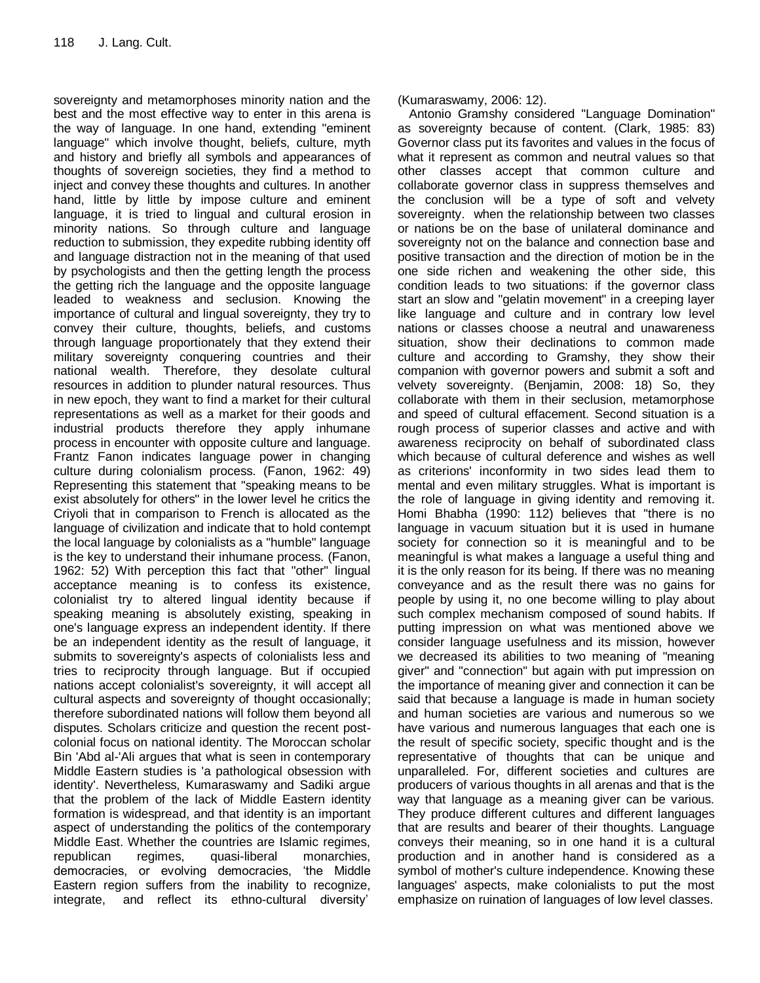sovereignty and metamorphoses minority nation and the best and the most effective way to enter in this arena is the way of language. In one hand, extending "eminent language" which involve thought, beliefs, culture, myth and history and briefly all symbols and appearances of thoughts of sovereign societies, they find a method to inject and convey these thoughts and cultures. In another hand, little by little by impose culture and eminent language, it is tried to lingual and cultural erosion in minority nations. So through culture and language reduction to submission, they expedite rubbing identity off and language distraction not in the meaning of that used by psychologists and then the getting length the process the getting rich the language and the opposite language leaded to weakness and seclusion. Knowing the importance of cultural and lingual sovereignty, they try to convey their culture, thoughts, beliefs, and customs through language proportionately that they extend their military sovereignty conquering countries and their national wealth. Therefore, they desolate cultural resources in addition to plunder natural resources. Thus in new epoch, they want to find a market for their cultural representations as well as a market for their goods and industrial products therefore they apply inhumane process in encounter with opposite culture and language. Frantz Fanon indicates language power in changing culture during colonialism process. (Fanon, 1962: 49) Representing this statement that "speaking means to be exist absolutely for others" in the lower level he critics the Criyoli that in comparison to French is allocated as the language of civilization and indicate that to hold contempt the local language by colonialists as a "humble" language is the key to understand their inhumane process. (Fanon, 1962: 52) With perception this fact that "other" lingual acceptance meaning is to confess its existence, colonialist try to altered lingual identity because if speaking meaning is absolutely existing, speaking in one's language express an independent identity. If there be an independent identity as the result of language, it submits to sovereignty's aspects of colonialists less and tries to reciprocity through language. But if occupied nations accept colonialist's sovereignty, it will accept all cultural aspects and sovereignty of thought occasionally; therefore subordinated nations will follow them beyond all disputes. Scholars criticize and question the recent postcolonial focus on national identity. The Moroccan scholar Bin 'Abd al-'Ali argues that what is seen in contemporary Middle Eastern studies is 'a pathological obsession with identity'. Nevertheless, Kumaraswamy and Sadiki argue that the problem of the lack of Middle Eastern identity formation is widespread, and that identity is an important aspect of understanding the politics of the contemporary Middle East. Whether the countries are Islamic regimes, republican regimes, quasi-liberal monarchies, democracies, or evolving democracies, "the Middle Eastern region suffers from the inability to recognize, integrate, and reflect its ethno-cultural diversity'

(Kumaraswamy, 2006: 12).

Antonio Gramshy considered "Language Domination" as sovereignty because of content. (Clark, 1985: 83) Governor class put its favorites and values in the focus of what it represent as common and neutral values so that other classes accept that common culture and collaborate governor class in suppress themselves and the conclusion will be a type of soft and velvety sovereignty. when the relationship between two classes or nations be on the base of unilateral dominance and sovereignty not on the balance and connection base and positive transaction and the direction of motion be in the one side richen and weakening the other side, this condition leads to two situations: if the governor class start an slow and "gelatin movement" in a creeping layer like language and culture and in contrary low level nations or classes choose a neutral and unawareness situation, show their declinations to common made culture and according to Gramshy, they show their companion with governor powers and submit a soft and velvety sovereignty. (Benjamin, 2008: 18) So, they collaborate with them in their seclusion, metamorphose and speed of cultural effacement. Second situation is a rough process of superior classes and active and with awareness reciprocity on behalf of subordinated class which because of cultural deference and wishes as well as criterions' inconformity in two sides lead them to mental and even military struggles. What is important is the role of language in giving identity and removing it. Homi Bhabha (1990: 112) believes that "there is no language in vacuum situation but it is used in humane society for connection so it is meaningful and to be meaningful is what makes a language a useful thing and it is the only reason for its being. If there was no meaning conveyance and as the result there was no gains for people by using it, no one become willing to play about such complex mechanism composed of sound habits. If putting impression on what was mentioned above we consider language usefulness and its mission, however we decreased its abilities to two meaning of "meaning giver" and "connection" but again with put impression on the importance of meaning giver and connection it can be said that because a language is made in human society and human societies are various and numerous so we have various and numerous languages that each one is the result of specific society, specific thought and is the representative of thoughts that can be unique and unparalleled. For, different societies and cultures are producers of various thoughts in all arenas and that is the way that language as a meaning giver can be various. They produce different cultures and different languages that are results and bearer of their thoughts. Language conveys their meaning, so in one hand it is a cultural production and in another hand is considered as a symbol of mother's culture independence. Knowing these languages' aspects, make colonialists to put the most emphasize on ruination of languages of low level classes.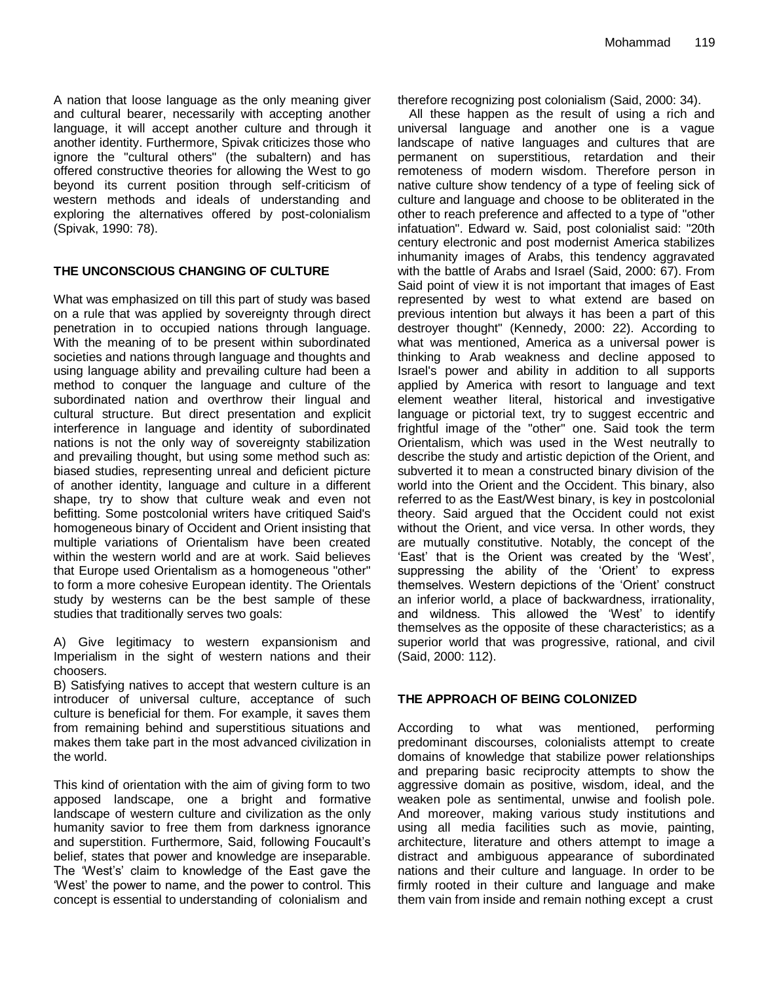A nation that loose language as the only meaning giver and cultural bearer, necessarily with accepting another language, it will accept another culture and through it another identity. Furthermore, Spivak criticizes those who ignore the "cultural others" (the subaltern) and has offered constructive theories for allowing the West to go beyond its current position through self-criticism of western methods and ideals of understanding and exploring the alternatives offered by post-colonialism (Spivak, 1990: 78).

#### **THE UNCONSCIOUS CHANGING OF CULTURE**

What was emphasized on till this part of study was based on a rule that was applied by sovereignty through direct penetration in to occupied nations through language. With the meaning of to be present within subordinated societies and nations through language and thoughts and using language ability and prevailing culture had been a method to conquer the language and culture of the subordinated nation and overthrow their lingual and cultural structure. But direct presentation and explicit interference in language and identity of subordinated nations is not the only way of sovereignty stabilization and prevailing thought, but using some method such as: biased studies, representing unreal and deficient picture of another identity, language and culture in a different shape, try to show that culture weak and even not befitting. Some postcolonial writers have critiqued Said's homogeneous binary of Occident and Orient insisting that multiple variations of Orientalism have been created within the western world and are at work. Said believes that Europe used Orientalism as a homogeneous "other" to form a more cohesive European identity. The Orientals study by westerns can be the best sample of these studies that traditionally serves two goals:

A) Give legitimacy to western expansionism and Imperialism in the sight of western nations and their choosers.

B) Satisfying natives to accept that western culture is an introducer of universal culture, acceptance of such culture is beneficial for them. For example, it saves them from remaining behind and superstitious situations and makes them take part in the most advanced civilization in the world.

This kind of orientation with the aim of giving form to two apposed landscape, one a bright and formative landscape of western culture and civilization as the only humanity savior to free them from darkness ignorance and superstition. Furthermore, Said, following Foucault"s belief, states that power and knowledge are inseparable. The "West"s" claim to knowledge of the East gave the "West" the power to name, and the power to control. This concept is essential to understanding of colonialism and

therefore recognizing post colonialism (Said, 2000: 34).

All these happen as the result of using a rich and universal language and another one is a vague landscape of native languages and cultures that are permanent on superstitious, retardation and their remoteness of modern wisdom. Therefore person in native culture show tendency of a type of feeling sick of culture and language and choose to be obliterated in the other to reach preference and affected to a type of "other infatuation". Edward w. Said, post colonialist said: "20th century electronic and post modernist America stabilizes inhumanity images of Arabs, this tendency aggravated with the battle of Arabs and Israel (Said, 2000: 67). From Said point of view it is not important that images of East represented by west to what extend are based on previous intention but always it has been a part of this destroyer thought" (Kennedy, 2000: 22). According to what was mentioned, America as a universal power is thinking to Arab weakness and decline apposed to Israel's power and ability in addition to all supports applied by America with resort to language and text element weather literal, historical and investigative language or pictorial text, try to suggest eccentric and frightful image of the "other" one. Said took the term Orientalism, which was used in the West neutrally to describe the study and artistic depiction of the Orient, and subverted it to mean a constructed binary division of the world into the Orient and the Occident. This binary, also referred to as the East/West binary, is key in postcolonial theory. Said argued that the Occident could not exist without the Orient, and vice versa. In other words, they are mutually constitutive. Notably, the concept of the "East" that is the Orient was created by the "West", suppressing the ability of the 'Orient' to express themselves. Western depictions of the "Orient" construct an inferior world, a place of backwardness, irrationality, and wildness. This allowed the 'West' to identify themselves as the opposite of these characteristics; as a superior world that was progressive, rational, and civil (Said, 2000: 112).

#### **THE APPROACH OF BEING COLONIZED**

According to what was mentioned, performing predominant discourses, colonialists attempt to create domains of knowledge that stabilize power relationships and preparing basic reciprocity attempts to show the aggressive domain as positive, wisdom, ideal, and the weaken pole as sentimental, unwise and foolish pole. And moreover, making various study institutions and using all media facilities such as movie, painting, architecture, literature and others attempt to image a distract and ambiguous appearance of subordinated nations and their culture and language. In order to be firmly rooted in their culture and language and make them vain from inside and remain nothing except a crust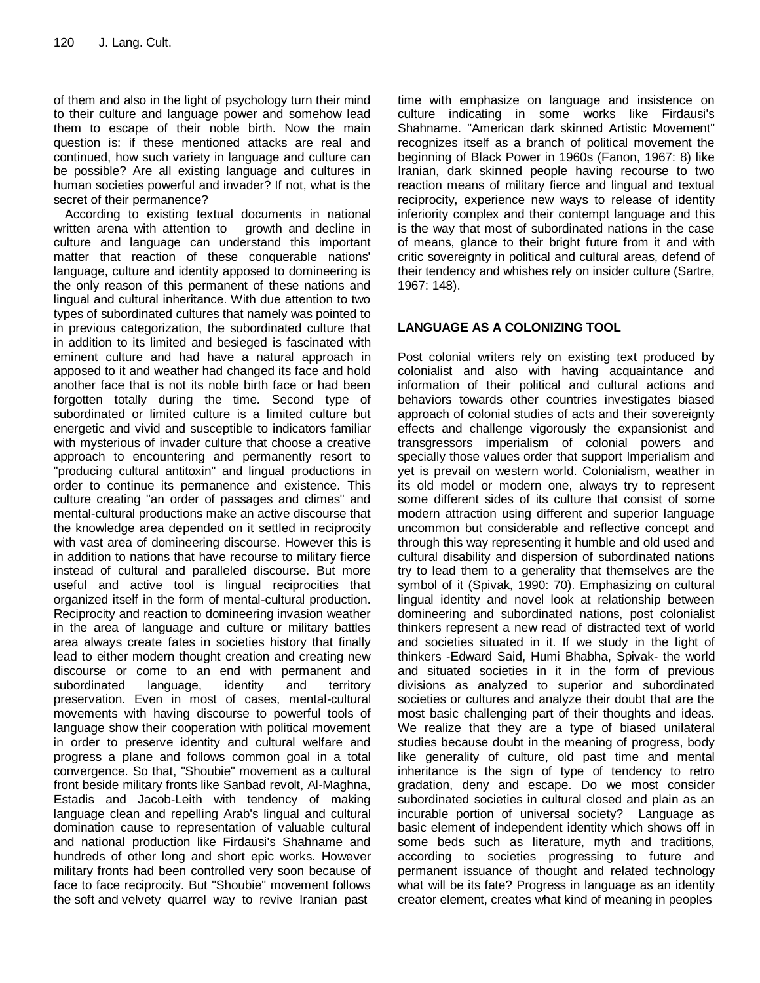of them and also in the light of psychology turn their mind to their culture and language power and somehow lead them to escape of their noble birth. Now the main question is: if these mentioned attacks are real and continued, how such variety in language and culture can be possible? Are all existing language and cultures in human societies powerful and invader? If not, what is the secret of their permanence?

According to existing textual documents in national written arena with attention to growth and decline in culture and language can understand this important matter that reaction of these conquerable nations' language, culture and identity apposed to domineering is the only reason of this permanent of these nations and lingual and cultural inheritance. With due attention to two types of subordinated cultures that namely was pointed to in previous categorization, the subordinated culture that in addition to its limited and besieged is fascinated with eminent culture and had have a natural approach in apposed to it and weather had changed its face and hold another face that is not its noble birth face or had been forgotten totally during the time. Second type of subordinated or limited culture is a limited culture but energetic and vivid and susceptible to indicators familiar with mysterious of invader culture that choose a creative approach to encountering and permanently resort to "producing cultural antitoxin" and lingual productions in order to continue its permanence and existence. This culture creating "an order of passages and climes" and mental-cultural productions make an active discourse that the knowledge area depended on it settled in reciprocity with vast area of domineering discourse. However this is in addition to nations that have recourse to military fierce instead of cultural and paralleled discourse. But more useful and active tool is lingual reciprocities that organized itself in the form of mental-cultural production. Reciprocity and reaction to domineering invasion weather in the area of language and culture or military battles area always create fates in societies history that finally lead to either modern thought creation and creating new discourse or come to an end with permanent and subordinated language, identity and territory preservation. Even in most of cases, mental-cultural movements with having discourse to powerful tools of language show their cooperation with political movement in order to preserve identity and cultural welfare and progress a plane and follows common goal in a total convergence. So that, "Shoubie" movement as a cultural front beside military fronts like Sanbad revolt, Al-Maghna, Estadis and Jacob-Leith with tendency of making language clean and repelling Arab's lingual and cultural domination cause to representation of valuable cultural and national production like Firdausi's Shahname and hundreds of other long and short epic works. However military fronts had been controlled very soon because of face to face reciprocity. But "Shoubie" movement follows the soft and velvety quarrel way to revive Iranian past

time with emphasize on language and insistence on culture indicating in some works like Firdausi's Shahname. "American dark skinned Artistic Movement" recognizes itself as a branch of political movement the beginning of Black Power in 1960s (Fanon, 1967: 8) like Iranian, dark skinned people having recourse to two reaction means of military fierce and lingual and textual reciprocity, experience new ways to release of identity inferiority complex and their contempt language and this is the way that most of subordinated nations in the case of means, glance to their bright future from it and with critic sovereignty in political and cultural areas, defend of their tendency and whishes rely on insider culture (Sartre, 1967: 148).

## **LANGUAGE AS A COLONIZING TOOL**

Post colonial writers rely on existing text produced by colonialist and also with having acquaintance and information of their political and cultural actions and behaviors towards other countries investigates biased approach of colonial studies of acts and their sovereignty effects and challenge vigorously the expansionist and transgressors imperialism of colonial powers and specially those values order that support Imperialism and yet is prevail on western world. Colonialism, weather in its old model or modern one, always try to represent some different sides of its culture that consist of some modern attraction using different and superior language uncommon but considerable and reflective concept and through this way representing it humble and old used and cultural disability and dispersion of subordinated nations try to lead them to a generality that themselves are the symbol of it (Spivak, 1990: 70). Emphasizing on cultural lingual identity and novel look at relationship between domineering and subordinated nations, post colonialist thinkers represent a new read of distracted text of world and societies situated in it. If we study in the light of thinkers -Edward Said, Humi Bhabha, Spivak- the world and situated societies in it in the form of previous divisions as analyzed to superior and subordinated societies or cultures and analyze their doubt that are the most basic challenging part of their thoughts and ideas. We realize that they are a type of biased unilateral studies because doubt in the meaning of progress, body like generality of culture, old past time and mental inheritance is the sign of type of tendency to retro gradation, deny and escape. Do we most consider subordinated societies in cultural closed and plain as an incurable portion of universal society? Language as basic element of independent identity which shows off in some beds such as literature, myth and traditions, according to societies progressing to future and permanent issuance of thought and related technology what will be its fate? Progress in language as an identity creator element, creates what kind of meaning in peoples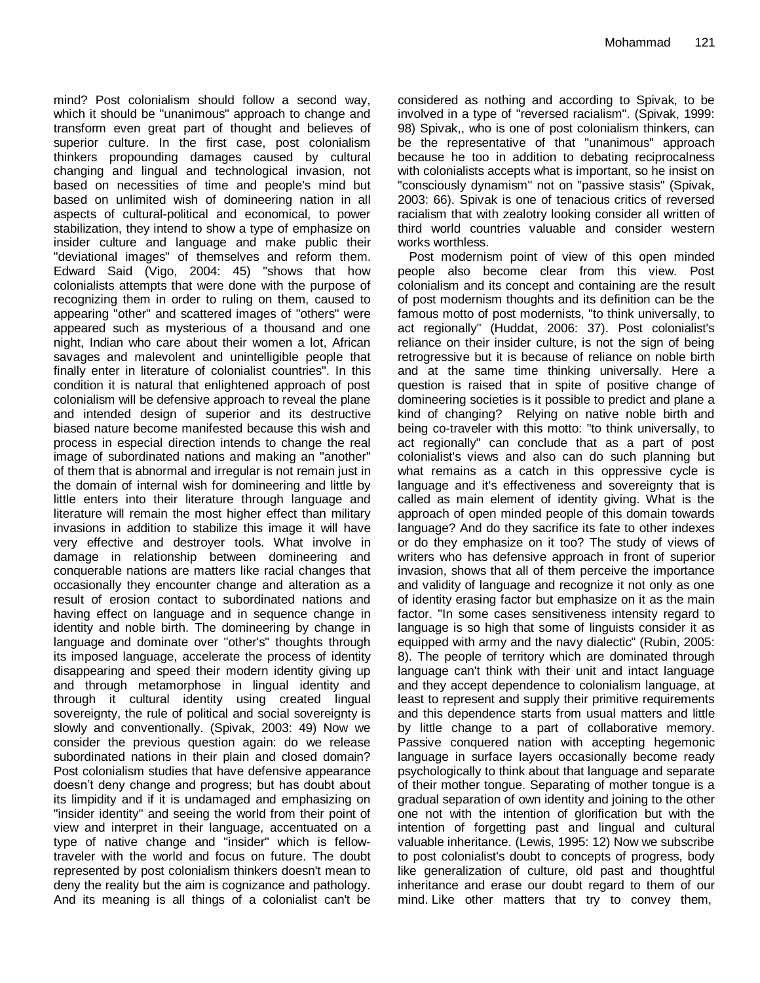mind? Post colonialism should follow a second way, which it should be "unanimous" approach to change and transform even great part of thought and believes of superior culture. In the first case, post colonialism thinkers propounding damages caused by cultural changing and lingual and technological invasion, not based on necessities of time and people's mind but based on unlimited wish of domineering nation in all aspects of cultural-political and economical, to power stabilization, they intend to show a type of emphasize on insider culture and language and make public their "deviational images" of themselves and reform them. Edward Said (Vigo, 2004: 45) "shows that how colonialists attempts that were done with the purpose of recognizing them in order to ruling on them, caused to appearing "other" and scattered images of "others" were appeared such as mysterious of a thousand and one night, Indian who care about their women a lot, African savages and malevolent and unintelligible people that finally enter in literature of colonialist countries". In this condition it is natural that enlightened approach of post colonialism will be defensive approach to reveal the plane and intended design of superior and its destructive biased nature become manifested because this wish and process in especial direction intends to change the real image of subordinated nations and making an "another" of them that is abnormal and irregular is not remain just in the domain of internal wish for domineering and little by little enters into their literature through language and literature will remain the most higher effect than military invasions in addition to stabilize this image it will have very effective and destroyer tools. What involve in damage in relationship between domineering and conquerable nations are matters like racial changes that occasionally they encounter change and alteration as a result of erosion contact to subordinated nations and having effect on language and in sequence change in identity and noble birth. The domineering by change in language and dominate over "other's" thoughts through its imposed language, accelerate the process of identity disappearing and speed their modern identity giving up and through metamorphose in lingual identity and through it cultural identity using created lingual sovereignty, the rule of political and social sovereignty is slowly and conventionally. (Spivak, 2003: 49) Now we consider the previous question again: do we release subordinated nations in their plain and closed domain? Post colonialism studies that have defensive appearance doesn"t deny change and progress; but has doubt about its limpidity and if it is undamaged and emphasizing on "insider identity" and seeing the world from their point of view and interpret in their language, accentuated on a type of native change and "insider" which is fellowtraveler with the world and focus on future. The doubt represented by post colonialism thinkers doesn't mean to deny the reality but the aim is cognizance and pathology. And its meaning is all things of a colonialist can't be

considered as nothing and according to Spivak, to be involved in a type of "reversed racialism". (Spivak, 1999: 98) Spivak,, who is one of post colonialism thinkers, can be the representative of that "unanimous" approach because he too in addition to debating reciprocalness with colonialists accepts what is important, so he insist on "consciously dynamism" not on "passive stasis" (Spivak, 2003: 66). Spivak is one of tenacious critics of reversed racialism that with zealotry looking consider all written of third world countries valuable and consider western works worthless.

Post modernism point of view of this open minded people also become clear from this view. Post colonialism and its concept and containing are the result of post modernism thoughts and its definition can be the famous motto of post modernists, "to think universally, to act regionally" (Huddat, 2006: 37). Post colonialist's reliance on their insider culture, is not the sign of being retrogressive but it is because of reliance on noble birth and at the same time thinking universally. Here a question is raised that in spite of positive change of domineering societies is it possible to predict and plane a kind of changing? Relying on native noble birth and being co-traveler with this motto: "to think universally, to act regionally" can conclude that as a part of post colonialist's views and also can do such planning but what remains as a catch in this oppressive cycle is language and it's effectiveness and sovereignty that is called as main element of identity giving. What is the approach of open minded people of this domain towards language? And do they sacrifice its fate to other indexes or do they emphasize on it too? The study of views of writers who has defensive approach in front of superior invasion, shows that all of them perceive the importance and validity of language and recognize it not only as one of identity erasing factor but emphasize on it as the main factor. "In some cases sensitiveness intensity regard to language is so high that some of linguists consider it as equipped with army and the navy dialectic" (Rubin, 2005: 8). The people of territory which are dominated through language can't think with their unit and intact language and they accept dependence to colonialism language, at least to represent and supply their primitive requirements and this dependence starts from usual matters and little by little change to a part of collaborative memory. Passive conquered nation with accepting hegemonic language in surface layers occasionally become ready psychologically to think about that language and separate of their mother tongue. Separating of mother tongue is a gradual separation of own identity and joining to the other one not with the intention of glorification but with the intention of forgetting past and lingual and cultural valuable inheritance. (Lewis, 1995: 12) Now we subscribe to post colonialist's doubt to concepts of progress, body like generalization of culture, old past and thoughtful inheritance and erase our doubt regard to them of our mind. Like other matters that try to convey them,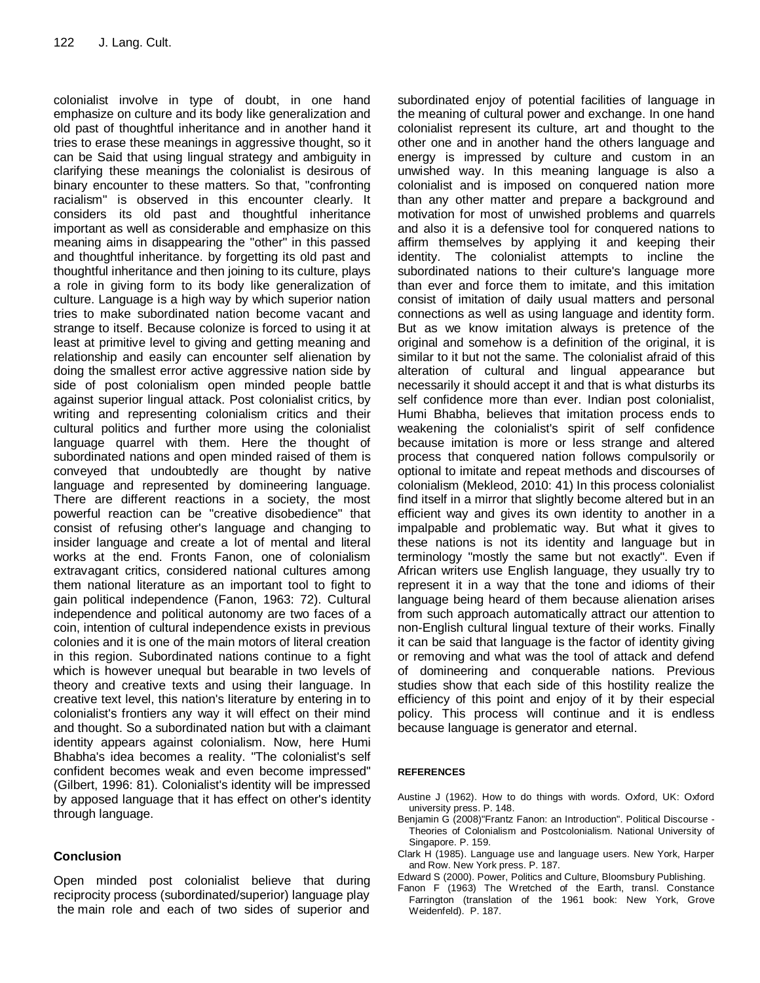colonialist involve in type of doubt, in one hand emphasize on culture and its body like generalization and old past of thoughtful inheritance and in another hand it tries to erase these meanings in aggressive thought, so it can be Said that using lingual strategy and ambiguity in clarifying these meanings the colonialist is desirous of binary encounter to these matters. So that, "confronting racialism" is observed in this encounter clearly. It considers its old past and thoughtful inheritance important as well as considerable and emphasize on this meaning aims in disappearing the "other" in this passed and thoughtful inheritance. by forgetting its old past and thoughtful inheritance and then joining to its culture, plays a role in giving form to its body like generalization of culture. Language is a high way by which superior nation tries to make subordinated nation become vacant and strange to itself. Because colonize is forced to using it at least at primitive level to giving and getting meaning and relationship and easily can encounter self alienation by doing the smallest error active aggressive nation side by side of post colonialism open minded people battle against superior lingual attack. Post colonialist critics, by writing and representing colonialism critics and their cultural politics and further more using the colonialist language quarrel with them. Here the thought of subordinated nations and open minded raised of them is conveyed that undoubtedly are thought by native language and represented by domineering language. There are different reactions in a society, the most powerful reaction can be "creative disobedience" that consist of refusing other's language and changing to insider language and create a lot of mental and literal works at the end. Fronts Fanon, one of colonialism extravagant critics, considered national cultures among them national literature as an important tool to fight to gain political independence (Fanon, 1963: 72). Cultural independence and political autonomy are two faces of a coin, intention of cultural independence exists in previous colonies and it is one of the main motors of literal creation in this region. Subordinated nations continue to a fight which is however unequal but bearable in two levels of theory and creative texts and using their language. In creative text level, this nation's literature by entering in to colonialist's frontiers any way it will effect on their mind and thought. So a subordinated nation but with a claimant identity appears against colonialism. Now, here Humi Bhabha's idea becomes a reality. "The colonialist's self confident becomes weak and even become impressed" (Gilbert, 1996: 81). Colonialist's identity will be impressed by apposed language that it has effect on other's identity through language.

### **Conclusion**

Open minded post colonialist believe that during reciprocity process (subordinated/superior) language play the main role and each of two sides of superior and subordinated enjoy of potential facilities of language in the meaning of cultural power and exchange. In one hand colonialist represent its culture, art and thought to the other one and in another hand the others language and energy is impressed by culture and custom in an unwished way. In this meaning language is also a colonialist and is imposed on conquered nation more than any other matter and prepare a background and motivation for most of unwished problems and quarrels and also it is a defensive tool for conquered nations to affirm themselves by applying it and keeping their identity. The colonialist attempts to incline the subordinated nations to their culture's language more than ever and force them to imitate, and this imitation consist of imitation of daily usual matters and personal connections as well as using language and identity form. But as we know imitation always is pretence of the original and somehow is a definition of the original, it is similar to it but not the same. The colonialist afraid of this alteration of cultural and lingual appearance but necessarily it should accept it and that is what disturbs its self confidence more than ever. Indian post colonialist, Humi Bhabha, believes that imitation process ends to weakening the colonialist's spirit of self confidence because imitation is more or less strange and altered process that conquered nation follows compulsorily or optional to imitate and repeat methods and discourses of colonialism (Mekleod, 2010: 41) In this process colonialist find itself in a mirror that slightly become altered but in an efficient way and gives its own identity to another in a impalpable and problematic way. But what it gives to these nations is not its identity and language but in terminology "mostly the same but not exactly". Even if African writers use English language, they usually try to represent it in a way that the tone and idioms of their language being heard of them because alienation arises from such approach automatically attract our attention to non-English cultural lingual texture of their works. Finally it can be said that language is the factor of identity giving or removing and what was the tool of attack and defend of domineering and conquerable nations. Previous studies show that each side of this hostility realize the efficiency of this point and enjoy of it by their especial policy. This process will continue and it is endless because language is generator and eternal.

#### **REFERENCES**

- Austine J (1962). How to do things with words. Oxford, UK: Oxford university press. P. 148.
- Benjamin G (2008)"Frantz Fanon: an Introduction". Political Discourse Theories of Colonialism and Postcolonialism. National University of Singapore. P. 159.
- Clark H (1985). Language use and language users. New York, Harper and Row. New York press. P. 187.
- Edward S (2000). Power, Politics and Culture, Bloomsbury Publishing.
- Fanon F (1963) The Wretched of the Earth, transl. Constance Farrington (translation of the 1961 book: New York, Grove Weidenfeld). P. 187.